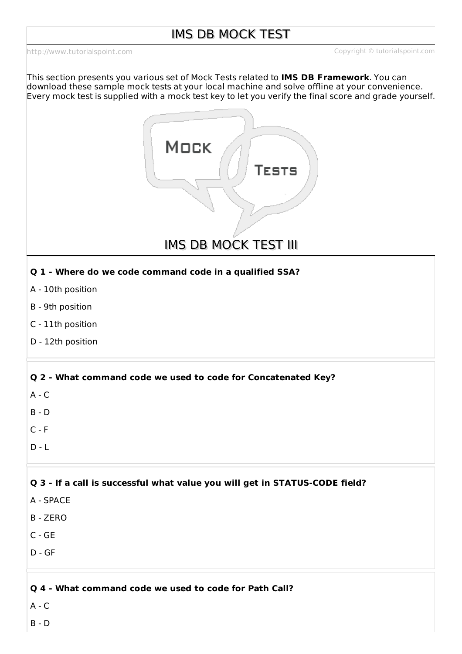<http://www.tutorialspoint.com> Copyright © tutorialspoint.com

This section presents you various set of Mock Tests related to **IMS DB Framework**. You can download these sample mock tests at your local machine and solve offline at your convenience. Every mock test is supplied with a mock test key to let you verify the final score and grade yourself.



IMS DB MOCK TEST III

## **Q 1 - Where do we code command code in a qualified SSA?**

- A 10th position
- B 9th position
- C 11th position
- D 12th position

## **Q 2 - What command code we used to code for Concatenated Key?**

- $A C$
- B D
- $C F$
- $D L$

## **Q 3 - If a call is successful what value you will get in STATUS-CODE field?**

- A SPACE
- B ZERO
- C GE
- D GF

#### **Q 4 - What command code we used to code for Path Call?**

 $A - C$ 

B - D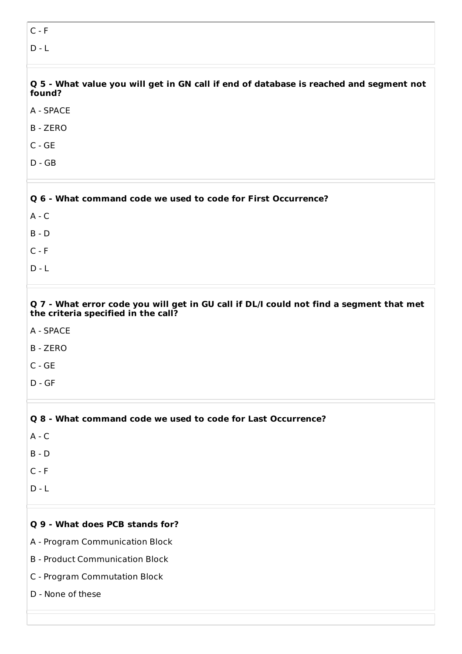# $C - F$

 $D - L$ 

Q 5 - What value you will get in GN call if end of database is reached and segment not **found?**

- A SPACE
- B ZERO
- C GE
- D GB

| Q 6 - What command code we used to code for First Occurrence? |  |
|---------------------------------------------------------------|--|
| $A - C$                                                       |  |
| $B - D$                                                       |  |
| $C - F$                                                       |  |
| $D - I$                                                       |  |

#### Q 7 - What error code you will get in GU call if DL/I could not find a segment that met **the criteria specified in the call?**

- A SPACE
- B ZERO
- C GE
- D GF

# **Q 8 - What command code we used to code for Last Occurrence?**  $A - C$ B - D  $C - F$  $D - L$

## **Q 9 - What does PCB stands for?**

- A Program Communication Block
- B Product Communication Block
- C Program Commutation Block
- D None of these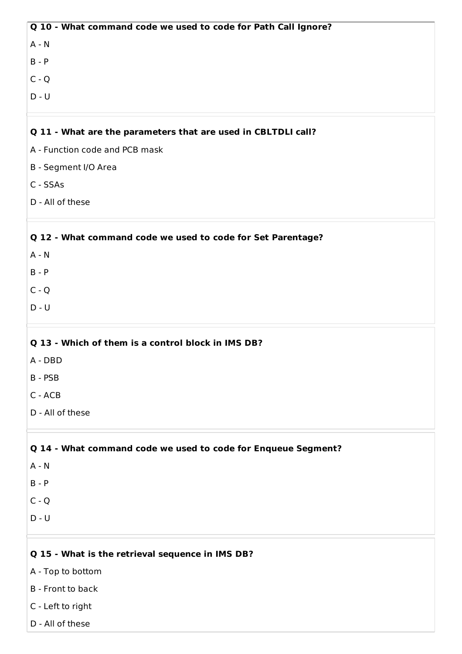| Q 10 - What command code we used to code for Path Call Ignore? |
|----------------------------------------------------------------|
| $A - N$                                                        |
| $B - P$                                                        |
| $C - Q$                                                        |
| $D - U$                                                        |
| Q 11 - What are the parameters that are used in CBLTDLI call?  |
| A - Function code and PCB mask                                 |
| B - Segment I/O Area                                           |
| C - SSAs                                                       |
| D - All of these                                               |
| Q 12 - What command code we used to code for Set Parentage?    |
| $A - N$                                                        |
| $B - P$                                                        |
| $C - Q$                                                        |
| $D - U$                                                        |
| Q 13 - Which of them is a control block in IMS DB?             |
| A - DBD                                                        |
| B - PSB                                                        |
| C - ACB                                                        |
| D - All of these                                               |
| Q 14 - What command code we used to code for Enqueue Segment?  |
| $A - N$                                                        |
| $B - P$                                                        |
| $C - Q$                                                        |
| $D - U$                                                        |
| Q 15 - What is the retrieval sequence in IMS DB?               |
| A - Top to bottom                                              |

- B Front to back
- C Left to right
- D All of these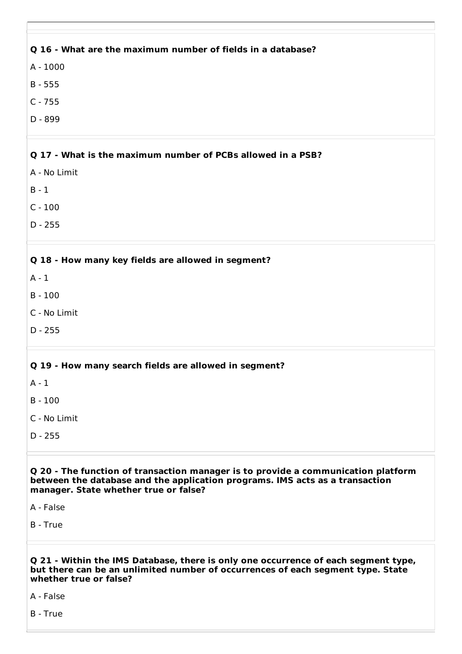#### **Q 16 - What are the maximum number of fields in a database?**

A - 1000

B - 555

C - 755

D - 899

#### **Q 17 - What is the maximum number of PCBs allowed in a PSB?**

A - No Limit

B - 1

C - 100

D - 255

#### **Q 18 - How many key fields are allowed in segment?**

 $A - 1$ 

B - 100

C - No Limit

D - 255

## **Q 19 - How many search fields are allowed in segment?**

A - 1

B - 100

C - No Limit

D - 255

#### **Q 20 - The function of transaction manager is to provide a communication platform between the database and the application programs. IMS acts as a transaction manager. State whether true or false?**

A - False

B - True

#### **Q 21 - Within the IMS Database, there is only one occurrence of each segment type, but there can be an unlimited number of occurrences of each segment type. State whether true or false?**

A - False

B - True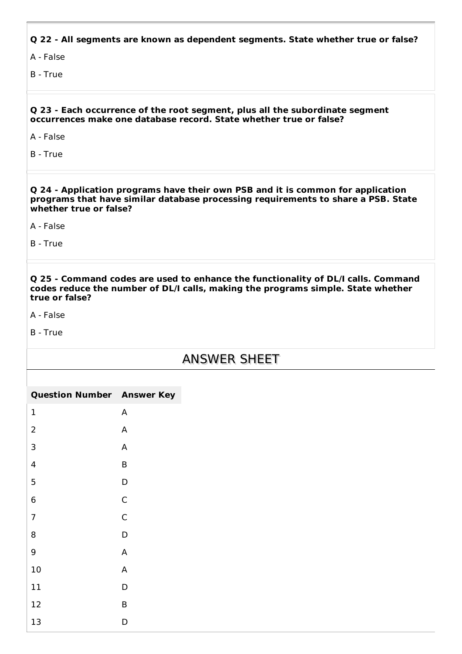**Q 22 - All segments are known as dependent segments. State whether true or false?**

A - False

B - True

#### **Q 23 - Each occurrence of the root segment, plus all the subordinate segment occurrences make one database record. State whether true or false?**

A - False

B - True

**Q 24 - Application programs have their own PSB and it is common for application programs that have similar database processing requirements to share a PSB. State whether true or false?**

A - False

B - True

**Q 25 - Command codes are used to enhance the functionality of DL/I calls. Command codes reduce the number of DL/I calls, making the programs simple. State whether true or false?**

A - False

B - True

# ANSWER SHEET

| <b>Question Number Answer Key</b> |                           |
|-----------------------------------|---------------------------|
| $\mathbf 1$                       | $\boldsymbol{\mathsf{A}}$ |
| $\overline{2}$                    | $\boldsymbol{\mathsf{A}}$ |
| $\mathsf 3$                       | A                         |
| $\overline{4}$                    | $\sf B$                   |
| 5                                 | D                         |
| $6\phantom{1}6$                   | $\mathsf C$               |
| $\overline{7}$                    | $\mathsf C$               |
| 8                                 | D                         |
| $\boldsymbol{9}$                  | $\boldsymbol{\mathsf{A}}$ |
| $10\,$                            | $\boldsymbol{\mathsf{A}}$ |
| $11\,$                            | D                         |
| 12                                | $\sf B$                   |
| 13                                | $\mathsf D$               |